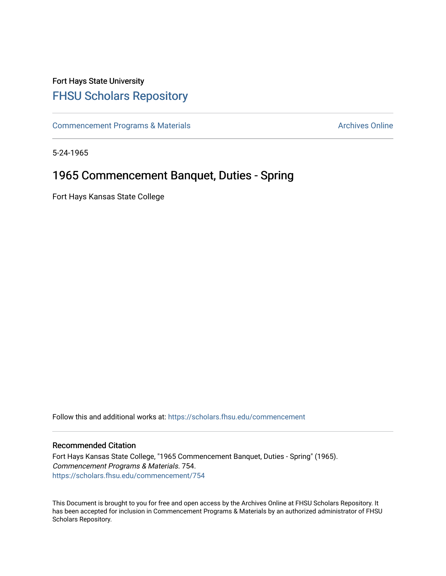## Fort Hays State University [FHSU Scholars Repository](https://scholars.fhsu.edu/)

[Commencement Programs & Materials](https://scholars.fhsu.edu/commencement) **Archives Online** Archives Online

5-24-1965

## 1965 Commencement Banquet, Duties - Spring

Fort Hays Kansas State College

Follow this and additional works at: [https://scholars.fhsu.edu/commencement](https://scholars.fhsu.edu/commencement?utm_source=scholars.fhsu.edu%2Fcommencement%2F754&utm_medium=PDF&utm_campaign=PDFCoverPages)

## Recommended Citation

Fort Hays Kansas State College, "1965 Commencement Banquet, Duties - Spring" (1965). Commencement Programs & Materials. 754. [https://scholars.fhsu.edu/commencement/754](https://scholars.fhsu.edu/commencement/754?utm_source=scholars.fhsu.edu%2Fcommencement%2F754&utm_medium=PDF&utm_campaign=PDFCoverPages)

This Document is brought to you for free and open access by the Archives Online at FHSU Scholars Repository. It has been accepted for inclusion in Commencement Programs & Materials by an authorized administrator of FHSU Scholars Repository.